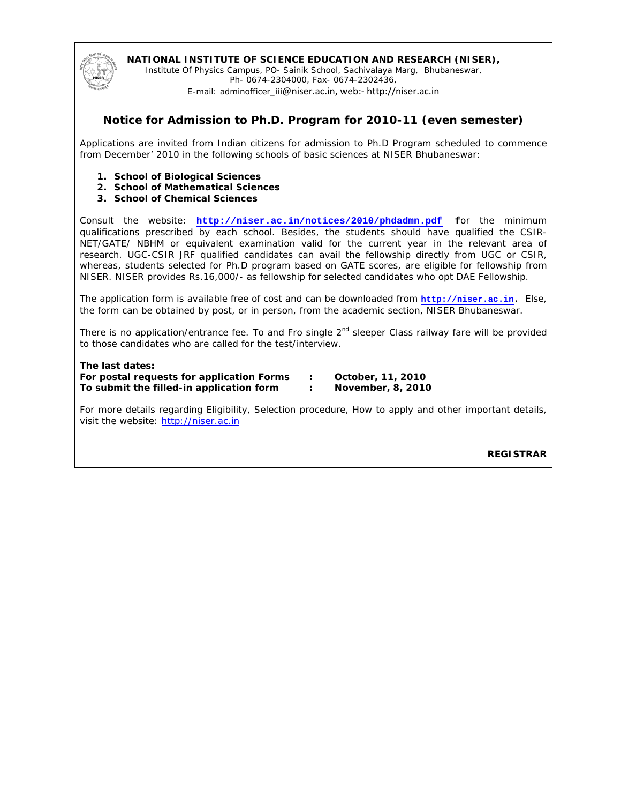

### **NATIONAL INSTITUTE OF SCIENCE EDUCATION AND RESEARCH (NISER),**

Institute Of Physics Campus, PO- Sainik School, Sachivalaya Marg, Bhubaneswar, Ph- 0674-2304000, Fax- 0674-2302436,

E-mail: adminofficer\_iii@niser.ac.in, web:- http://niser.ac.in

# **Notice for Admission to Ph.D. Program for 2010-11 (even semester)**

Applications are invited from Indian citizens for admission to Ph.D Program scheduled to commence from December' 2010 in the following schools of basic sciences at NISER Bhubaneswar:

- **1. School of Biological Sciences**
- **2. School of Mathematical Sciences**
- **3. School of Chemical Sciences**

Consult the website: **http://niser.ac.in/notices/2010/phdadmn.pdf f**or the minimum qualifications prescribed by each school. Besides, the students should have qualified the CSIR-NET/GATE/ NBHM or equivalent examination valid for the current year in the relevant area of research. UGC-CSIR JRF qualified candidates can avail the fellowship directly from UGC or CSIR, whereas, students selected for Ph.D program based on GATE scores, are eligible for fellowship from NISER. NISER provides Rs.16,000/- as fellowship for selected candidates who opt DAE Fellowship.

The application form is available free of cost and can be downloaded from **http://niser.ac.in**. Else, the form can be obtained by post, or in person, from the academic section, NISER Bhubaneswar.

There is no application/entrance fee. To and Fro single  $2<sup>nd</sup>$  sleeper Class railway fare will be provided to those candidates who are called for the test/interview.

### **The last dates:**

**For postal requests for application Forms : October, 11, 2010 To submit the filled-in application form : November, 8, 2010** 

For more details regarding Eligibility, Selection procedure, How to apply and other important details, visit the website: http://niser.ac.in

**REGISTRAR**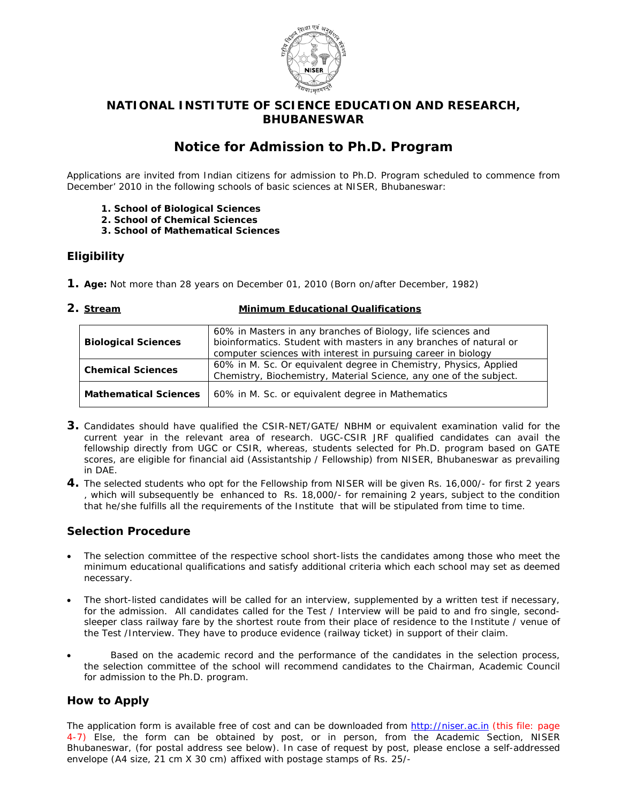

# **NATIONAL INSTITUTE OF SCIENCE EDUCATION AND RESEARCH, BHUBANESWAR**

# **Notice for Admission to Ph.D. Program**

Applications are invited from Indian citizens for admission to Ph.D. Program scheduled to commence from December' 2010 in the following schools of basic sciences at NISER, Bhubaneswar:

- **1. School of Biological Sciences**
- **2. School of Chemical Sciences**
- **3. School of Mathematical Sciences**

# **Eligibility**

- **1. Age:** Not more than 28 years on December 01, 2010 (Born on/after December, 1982)
- 

### **2. Stream Minimum Educational Qualifications**

| <b>Biological Sciences</b>   | 60% in Masters in any branches of Biology, life sciences and<br>bioinformatics. Student with masters in any branches of natural or<br>computer sciences with interest in pursuing career in biology |
|------------------------------|-----------------------------------------------------------------------------------------------------------------------------------------------------------------------------------------------------|
| <b>Chemical Sciences</b>     | 60% in M. Sc. Or equivalent degree in Chemistry, Physics, Applied<br>Chemistry, Biochemistry, Material Science, any one of the subject.                                                             |
| <b>Mathematical Sciences</b> | 60% in M. Sc. or equivalent degree in Mathematics                                                                                                                                                   |

- **3.** Candidates should have qualified the CSIR-NET/GATE/ NBHM or equivalent examination valid for the current year in the relevant area of research. UGC-CSIR JRF qualified candidates can avail the fellowship directly from UGC or CSIR, whereas, students selected for Ph.D. program based on GATE scores, are eligible for financial aid (Assistantship / Fellowship) from NISER, Bhubaneswar as prevailing in DAE.
- **4.** The selected students who opt for the Fellowship from NISER will be given Rs. 16,000/- for first 2 years , which will subsequently be enhanced to Rs. 18,000/- for remaining 2 years, subject to the condition that he/she fulfills all the requirements of the Institute that will be stipulated from time to time.

# **Selection Procedure**

- The selection committee of the respective school short-lists the candidates among those who meet the minimum educational qualifications and satisfy additional criteria which each school may set as deemed necessary.
- The short-listed candidates will be called for an interview, supplemented by a written test if necessary, for the admission. All candidates called for the Test / Interview will be paid to and fro single, secondsleeper class railway fare by the shortest route from their place of residence to the Institute / venue of the Test /Interview. They have to produce evidence (railway ticket) in support of their claim.
- Based on the academic record and the performance of the candidates in the selection process, the selection committee of the school will recommend candidates to the Chairman, Academic Council for admission to the Ph.D. program.

# **How to Apply**

The application form is available free of cost and can be downloaded from http://niser.ac.in (this file: page 4-7) Else, the form can be obtained by post, or in person, from the Academic Section, NISER Bhubaneswar, (for postal address see below). In case of request by post, please enclose a self-addressed envelope (A4 size, 21 cm X 30 cm) affixed with postage stamps of Rs. 25/-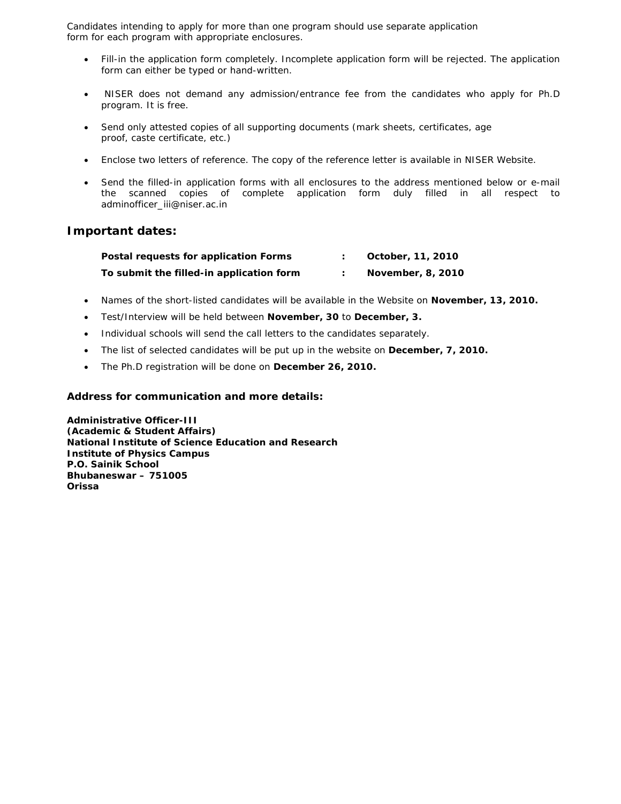Candidates intending to apply for more than one program should use separate application form for each program with appropriate enclosures.

- Fill-in the application form completely. Incomplete application form will be rejected. The application form can either be typed or hand-written.
- NISER does not demand any admission/entrance fee from the candidates who apply for Ph.D program. It is free.
- Send only attested copies of all supporting documents (mark sheets, certificates, age proof, caste certificate, etc.)
- Enclose two letters of reference. The copy of the reference letter is available in NISER Website.
- Send the filled-in application forms with all enclosures to the address mentioned below or e-mail the scanned copies of complete application form duly filled in all respect to adminofficer\_iii@niser.ac.in

# **Important dates:**

| Postal requests for application Forms    | October, 11, 2010 |
|------------------------------------------|-------------------|
| To submit the filled-in application form | November, 8, 2010 |

- Names of the short-listed candidates will be available in the Website on **November, 13, 2010.**
- Test/Interview will be held between **November, 30** to **December, 3.**
- Individual schools will send the call letters to the candidates separately.
- The list of selected candidates will be put up in the website on **December, 7, 2010.**
- The Ph.D registration will be done on **December 26, 2010.**

### **Address for communication and more details:**

**Administrative Officer-III (Academic & Student Affairs) National Institute of Science Education and Research Institute of Physics Campus P.O. Sainik School Bhubaneswar – 751005 Orissa**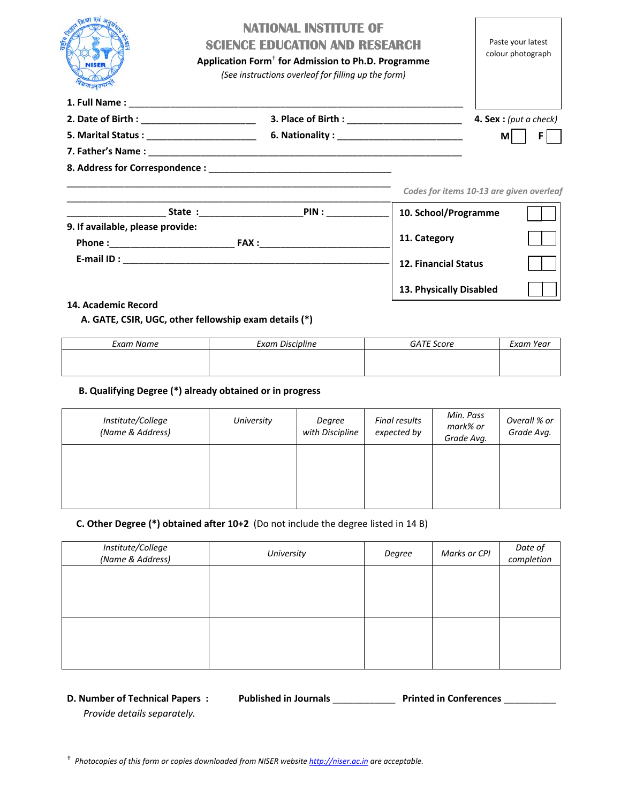|                                  | <b>NATIONAL INSTITUTE OF</b><br><b>SCIENCE EDUCATION AND RESEARCH</b><br>Application Form <sup>+</sup> for Admission to Ph.D. Programme<br>(See instructions overleaf for filling up the form) |                    |                      | Paste your latest<br>colour photograph   |
|----------------------------------|------------------------------------------------------------------------------------------------------------------------------------------------------------------------------------------------|--------------------|----------------------|------------------------------------------|
|                                  |                                                                                                                                                                                                |                    |                      |                                          |
|                                  |                                                                                                                                                                                                |                    |                      | <b>4. Sex</b> : (put a check)            |
|                                  |                                                                                                                                                                                                |                    |                      | МI                                       |
|                                  |                                                                                                                                                                                                |                    |                      |                                          |
|                                  |                                                                                                                                                                                                |                    |                      |                                          |
|                                  |                                                                                                                                                                                                |                    |                      | Codes for items 10-13 are given overleaf |
|                                  |                                                                                                                                                                                                | <b>State:</b> PIN: | 10. School/Programme |                                          |
| 9. If available, please provide: |                                                                                                                                                                                                |                    |                      |                                          |
| Phone:                           |                                                                                                                                                                                                | <b>FAX:</b>        | 11. Category         |                                          |

| E-mail ID: |  |  |  |
|------------|--|--|--|
|            |  |  |  |
|            |  |  |  |

### **14. Academic Record**

### **A. GATE, CSIR, UGC, other fellowship exam details (\*)**

| Exam Name | <b>Exam Discipline</b> | <b>GATE Score</b> | Exam Year |
|-----------|------------------------|-------------------|-----------|
|           |                        |                   |           |
|           |                        |                   |           |

**12. Financial Status**

**13. Physically Disabled**

### **B. Qualifying Degree (\*) already obtained or in progress**

| Institute/College<br>(Name & Address) | University | Degree<br>with Discipline | Final results<br>expected by | Min. Pass<br>mark% or<br>Grade Avg. | Overall % or<br>Grade Avg. |
|---------------------------------------|------------|---------------------------|------------------------------|-------------------------------------|----------------------------|
|                                       |            |                           |                              |                                     |                            |

### **C. Other Degree (\*) obtained after 10+2** (Do not include the degree listed in 14 B)

| Institute/College<br>(Name & Address) | University | Degree | Marks or CPI | Date of<br>completion |
|---------------------------------------|------------|--------|--------------|-----------------------|
|                                       |            |        |              |                       |
|                                       |            |        |              |                       |
|                                       |            |        |              |                       |
|                                       |            |        |              |                       |
|                                       |            |        |              |                       |

**D. Number of Technical Papers : Published in Journals** \_\_\_\_\_\_\_\_\_\_\_\_ **Printed in Conferences** \_\_\_\_\_\_\_\_\_\_

*Provide details separately.*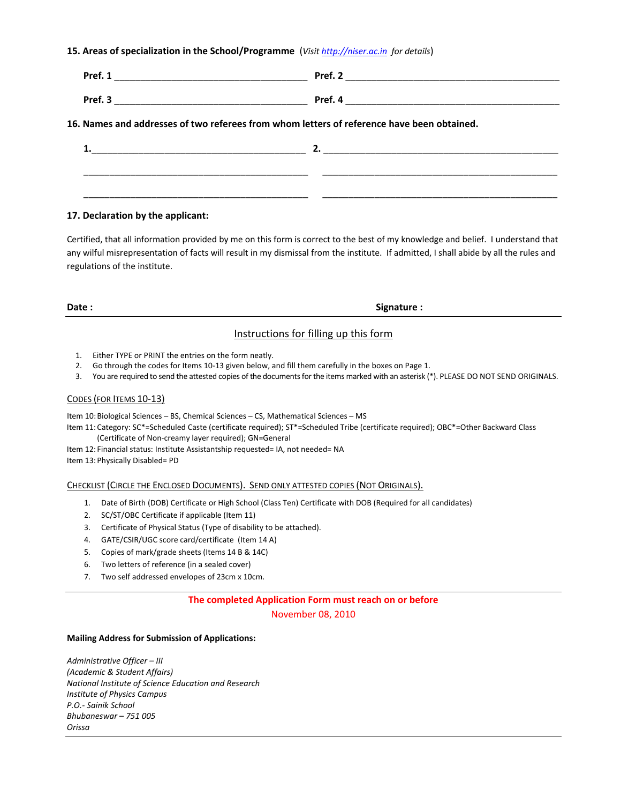### **15. Areas of specialization in the School/Programme** (*Visit http://niser.ac.in for details*)

| Pref.<br>$-$<br>____<br>______   | Pref.                             |
|----------------------------------|-----------------------------------|
| Pref. 3<br>___________<br>______ | Pref.<br>$\overline{\phantom{a}}$ |

### **16. Names and addresses of two referees from whom letters of reference have been obtained.**

### **17. Declaration by the applicant:**

Certified, that all information provided by me on this form is correct to the best of my knowledge and belief. I understand that any wilful misrepresentation of facts will result in my dismissal from the institute. If admitted, I shall abide by all the rules and regulations of the institute.

**Date : Signature : CO** 

### Instructions for filling up this form

- 1. Either TYPE or PRINT the entries on the form neatly.
- 2. Go through the codes for Items 10-13 given below, and fill them carefully in the boxes on Page 1.
- 3. You are required to send the attested copies of the documentsfor the items marked with an asterisk (\*). PLEASE DO NOT SEND ORIGINALS.

### CODES (FOR ITEMS 10‐13)

Item 10:Biological Sciences – BS, Chemical Sciences – CS, Mathematical Sciences – MS

Item 11: Category: SC\*=Scheduled Caste (certificate required); ST\*=Scheduled Tribe (certificate required); OBC\*=Other Backward Class (Certificate of Non‐creamy layer required); GN=General

Item 12: Financial status: Institute Assistantship requested= IA, not needed= NA

Item 13: Physically Disabled= PD

### CHECKLIST (CIRCLE THE ENCLOSED DOCUMENTS). SEND ONLY ATTESTED COPIES (NOT ORIGINALS).

- 1. Date of Birth (DOB) Certificate or High School (Class Ten) Certificate with DOB (Required for all candidates)
- 2. SC/ST/OBC Certificate if applicable (Item 11)
- 3. Certificate of Physical Status (Type of disability to be attached).
- 4. GATE/CSIR/UGC score card/certificate (Item 14 A)
- 5. Copies of mark/grade sheets (Items 14 B & 14C)
- 6. Two letters of reference (in a sealed cover)
- 7. Two self addressed envelopes of 23cm x 10cm.

### **The completed Application Form must reach on or before**

November 08, 2010

### **Mailing Address for Submission of Applications:**

*Administrative Officer – III (Academic & Student Affairs) National Institute of Science Education and Research Institute of Physics Campus P.O.‐ Sainik School Bhubaneswar – 751 005 Orissa*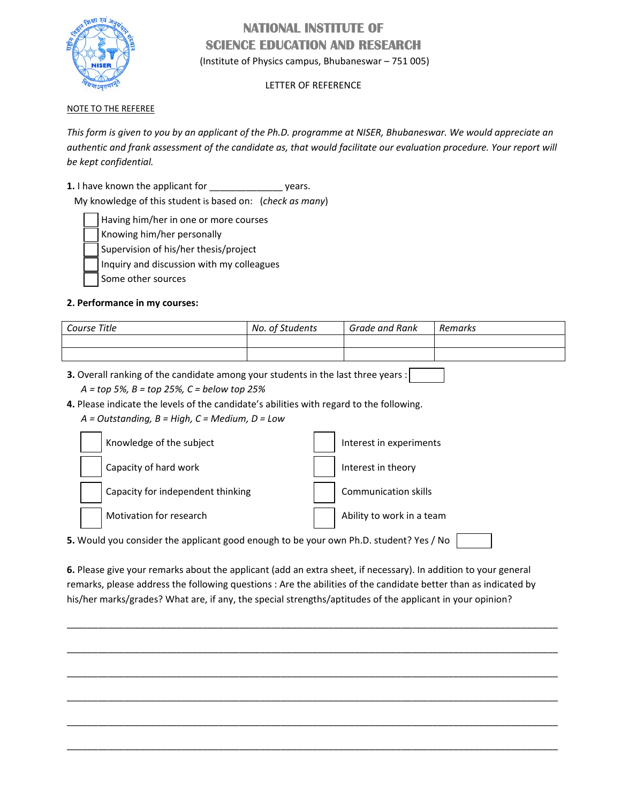

# **NATIONAL INSTITUTE OF SCIENCE EDUCATION AND RESEARCH**

(Institute of Physics campus, Bhubaneswar – 751 005)

# LETTER OF REFERENCE

# NOTE TO THE REFEREE

This form is given to you by an applicant of the Ph.D. programme at NISER, Bhubaneswar. We would appreciate an authentic and frank assessment of the candidate as, that would facilitate our evaluation procedure. Your report will *be kept confidential.*

**1.** I have known the applicant for \_\_\_\_\_\_\_\_\_\_\_\_\_\_ years.

My knowledge of this student is based on: (*check as many*)

Having him/her in one or more courses

Knowing him/her personally

Supervision of his/her thesis/project

Inquiry and discussion with my colleagues

Some other sources

# **2. Performance in my courses:**

| Course Title | No. of Students | Grade and Rank | Remarks |
|--------------|-----------------|----------------|---------|
|              |                 |                |         |
|              |                 |                |         |

**3.** Overall ranking of the candidate among your students in the last three years :

*A = top 5%, B = top 25%, C = below top 25%*

**4.** Please indicate the levels of the candidate's abilities with regard to the following.

*A = Outstanding, B = High, C = Medium, D = Low*

| Knowledge of the subject                                                               | Interest in experiments     |  |  |
|----------------------------------------------------------------------------------------|-----------------------------|--|--|
| Capacity of hard work                                                                  | Interest in theory          |  |  |
| Capacity for independent thinking                                                      | <b>Communication skills</b> |  |  |
| Motivation for research                                                                | Ability to work in a team   |  |  |
| 5. Would you consider the applicant good enough to be your own Ph.D. student? Yes / No |                             |  |  |

**6.** Please give your remarks about the applicant (add an extra sheet, if necessary). In addition to your general remarks, please address the following questions : Are the abilities of the candidate better than as indicated by his/her marks/grades? What are, if any, the special strengths/aptitudes of the applicant in your opinion?

\_\_\_\_\_\_\_\_\_\_\_\_\_\_\_\_\_\_\_\_\_\_\_\_\_\_\_\_\_\_\_\_\_\_\_\_\_\_\_\_\_\_\_\_\_\_\_\_\_\_\_\_\_\_\_\_\_\_\_\_\_\_\_\_\_\_\_\_\_\_\_\_\_\_\_\_\_\_\_\_\_\_\_\_\_\_\_\_\_\_\_\_\_\_

\_\_\_\_\_\_\_\_\_\_\_\_\_\_\_\_\_\_\_\_\_\_\_\_\_\_\_\_\_\_\_\_\_\_\_\_\_\_\_\_\_\_\_\_\_\_\_\_\_\_\_\_\_\_\_\_\_\_\_\_\_\_\_\_\_\_\_\_\_\_\_\_\_\_\_\_\_\_\_\_\_\_\_\_\_\_\_\_\_\_\_\_\_\_

\_\_\_\_\_\_\_\_\_\_\_\_\_\_\_\_\_\_\_\_\_\_\_\_\_\_\_\_\_\_\_\_\_\_\_\_\_\_\_\_\_\_\_\_\_\_\_\_\_\_\_\_\_\_\_\_\_\_\_\_\_\_\_\_\_\_\_\_\_\_\_\_\_\_\_\_\_\_\_\_\_\_\_\_\_\_\_\_\_\_\_\_\_\_

\_\_\_\_\_\_\_\_\_\_\_\_\_\_\_\_\_\_\_\_\_\_\_\_\_\_\_\_\_\_\_\_\_\_\_\_\_\_\_\_\_\_\_\_\_\_\_\_\_\_\_\_\_\_\_\_\_\_\_\_\_\_\_\_\_\_\_\_\_\_\_\_\_\_\_\_\_\_\_\_\_\_\_\_\_\_\_\_\_\_\_\_\_\_

\_\_\_\_\_\_\_\_\_\_\_\_\_\_\_\_\_\_\_\_\_\_\_\_\_\_\_\_\_\_\_\_\_\_\_\_\_\_\_\_\_\_\_\_\_\_\_\_\_\_\_\_\_\_\_\_\_\_\_\_\_\_\_\_\_\_\_\_\_\_\_\_\_\_\_\_\_\_\_\_\_\_\_\_\_\_\_\_\_\_\_\_\_\_

\_\_\_\_\_\_\_\_\_\_\_\_\_\_\_\_\_\_\_\_\_\_\_\_\_\_\_\_\_\_\_\_\_\_\_\_\_\_\_\_\_\_\_\_\_\_\_\_\_\_\_\_\_\_\_\_\_\_\_\_\_\_\_\_\_\_\_\_\_\_\_\_\_\_\_\_\_\_\_\_\_\_\_\_\_\_\_\_\_\_\_\_\_\_